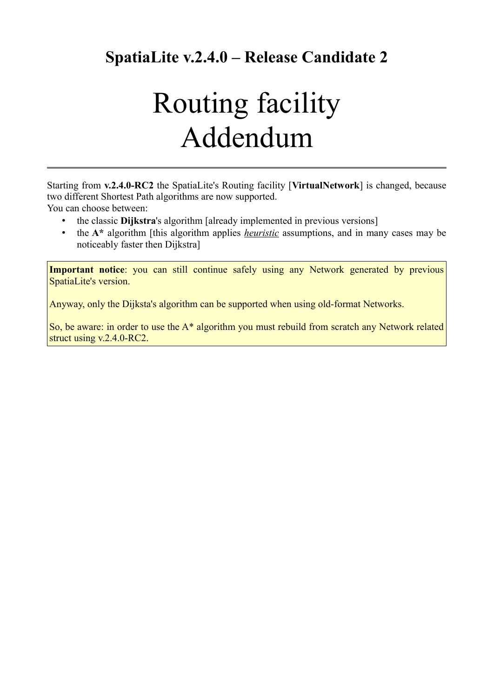**SpatiaLite v.2.4.0 – Release Candidate 2**

## Routing facility Addendum

Starting from **v.2.4.0-RC2** the SpatiaLite's Routing facility [**VirtualNetwork**] is changed, because two different Shortest Path algorithms are now supported.

You can choose between:

- the classic **Dijkstra**'s algorithm [already implemented in previous versions]
- the **A\*** algorithm [this algorithm applies *heuristic* assumptions, and in many cases may be noticeably faster then Dijkstra]

**Important notice**: you can still continue safely using any Network generated by previous SpatiaLite's version.

Anyway, only the Dijksta's algorithm can be supported when using old-format Networks.

So, be aware: in order to use the A\* algorithm you must rebuild from scratch any Network related struct using v.2.4.0-RC2.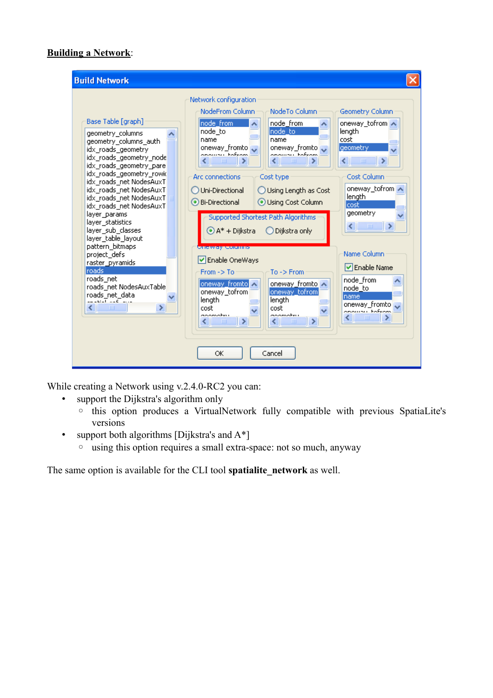## **Building a Network**:

| <b>Build Network</b>                                                                                                                                                                                                                                                                                                                                                                                                                                                                                       |                                                                                                                                                                                                                                                                                                                                                                                                                                                                                                                                                                                                                                                                                                                                                                                         |                                                                                                                                                                                                                                                                                                                         |
|------------------------------------------------------------------------------------------------------------------------------------------------------------------------------------------------------------------------------------------------------------------------------------------------------------------------------------------------------------------------------------------------------------------------------------------------------------------------------------------------------------|-----------------------------------------------------------------------------------------------------------------------------------------------------------------------------------------------------------------------------------------------------------------------------------------------------------------------------------------------------------------------------------------------------------------------------------------------------------------------------------------------------------------------------------------------------------------------------------------------------------------------------------------------------------------------------------------------------------------------------------------------------------------------------------------|-------------------------------------------------------------------------------------------------------------------------------------------------------------------------------------------------------------------------------------------------------------------------------------------------------------------------|
| Base Table [graph]<br>geometry_columns<br>geometry columns auth<br>idx_roads_geometry<br>idx_roads_geometry_node<br>idx roads geometry pare <br>idx_roads_geometry_rowid<br>idx roads net NodesAuxT<br>idx_roads_net NodesAuxT<br>idx_roads_net NodesAuxT<br>idx_roads_net NodesAuxT<br>layer_params<br>layer_statistics<br>layer sub classes<br>layer_table_layout<br>pattern_bitmaps<br>project defs<br>raster_pyramids<br>Iroads.<br>roads net<br>roads_net NodesAuxTable<br>roads net data<br>×<br>HH. | Network configuration<br>NodeFrom Column<br>NodeTo Column<br>node from<br>node from<br>node_to<br>Inode to:<br>name<br>name<br>oneway fromto<br>oneway_fromto <mark></mark><br>anawan kafeam<br>anawan kafeam<br>$\blacksquare$<br>$\mathbf{m}$<br>◟<br>◟<br>Arc connections<br>Cost type<br>Uni-Directional<br>◯ Using Length as Cost<br>Bi-Directional<br>Using Cost Column<br>Supported Shortest Path Algorithms<br>$\bigodot$ A* + Dijkstra<br>Dijkstra only<br><u>Oneway columns</u><br>V Enable OneWays<br>$To \rightarrow$ From<br>$From -> To$<br>oneway_fromto ∧<br>oneway_fromto ∧<br>oneway_tofrom<br>oneway_tofrom<br>length<br>length<br>cost<br>cost<br>aoomatru<br>acomotivu<br>$\rightarrow$<br>$\rightarrow$<br>$\sim$ 100<br>$\  \cdot \ $<br>◁<br>≤∣<br>ОК<br>Cancel | Geometry Column<br>oneway_tofrom ∧<br>length<br>cost<br>geometry<br>$\rightarrow$<br>∢<br>$\;$ IIII<br>Cost Column<br>oneway_tofrom∥∧<br>length<br>cost<br>geometry<br>$\,$ HH<br>$\rightarrow$<br>◁<br>Name Column<br><b>▽</b> Enable Name<br>node_from<br>node to<br>name<br>oneway_fromto<br>onomou Fofenn<br>Ш<br>≤ |

While creating a Network using v.2.4.0-RC2 you can:

- support the Dijkstra's algorithm only
	- this option produces a VirtualNetwork fully compatible with previous SpatiaLite's versions
- support both algorithms [Dijkstra's and A\*]
	- using this option requires a small extra-space: not so much, anyway

The same option is available for the CLI tool **spatialite\_network** as well.